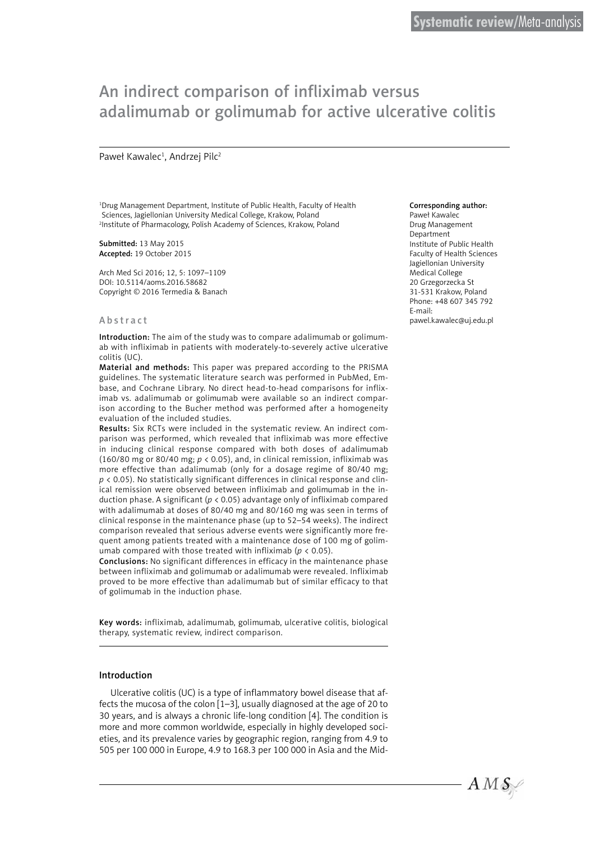# An indirect comparison of infliximab versus adalimumab or golimumab for active ulcerative colitis

## Paweł Kawalec<sup>1</sup>, Andrzej Pilc<sup>2</sup>

1 Drug Management Department, Institute of Public Health, Faculty of Health Sciences, Jagiellonian University Medical College, Krakow, Poland 2 Institute of Pharmacology, Polish Academy of Sciences, Krakow, Poland

Submitted: 13 May 2015 Accepted: 19 October 2015

Arch Med Sci 2016; 12, 5: 1097–1109 DOI: 10.5114/aoms.2016.58682 Copyright © 2016 Termedia & Banach

#### Abstract

Introduction: The aim of the study was to compare adalimumab or golimumab with infliximab in patients with moderately-to-severely active ulcerative colitis (UC).

Material and methods: This paper was prepared according to the PRISMA guidelines. The systematic literature search was performed in PubMed, Embase, and Cochrane Library. No direct head-to-head comparisons for infliximab vs. adalimumab or golimumab were available so an indirect comparison according to the Bucher method was performed after a homogeneity evaluation of the included studies.

Results: Six RCTs were included in the systematic review. An indirect comparison was performed, which revealed that infliximab was more effective in inducing clinical response compared with both doses of adalimumab (160/80 mg or 80/40 mg; *p* < 0.05), and, in clinical remission, infliximab was more effective than adalimumab (only for a dosage regime of 80/40 mg;  $p \lt 0.05$ ). No statistically significant differences in clinical response and clinical remission were observed between infliximab and golimumab in the induction phase. A significant (*p* < 0.05) advantage only of infliximab compared with adalimumab at doses of 80/40 mg and 80/160 mg was seen in terms of clinical response in the maintenance phase (up to 52–54 weeks). The indirect comparison revealed that serious adverse events were significantly more frequent among patients treated with a maintenance dose of 100 mg of golimumab compared with those treated with infliximab (*p* < 0.05).

Conclusions: No significant differences in efficacy in the maintenance phase between infliximab and golimumab or adalimumab were revealed. Infliximab proved to be more effective than adalimumab but of similar efficacy to that of golimumab in the induction phase.

Key words: infliximab, adalimumab, golimumab, ulcerative colitis, biological therapy, systematic review, indirect comparison.

## Introduction

Ulcerative colitis (UC) is a type of inflammatory bowel disease that affects the mucosa of the colon [1–3], usually diagnosed at the age of 20 to 30 years, and is always a chronic life-long condition [4]. The condition is more and more common worldwide, especially in highly developed societies, and its prevalence varies by geographic region, ranging from 4.9 to 505 per 100 000 in Europe, 4.9 to 168.3 per 100 000 in Asia and the Mid-

#### Corresponding author:

Paweł Kawalec Drug Management Department Institute of Public Health Faculty of Health Sciences Jagiellonian University Medical College 20 Grzegorzecka St 31-531 Krakow, Poland Phone: +48 607 345 792 E-mail: pawel.kawalec@uj.edu.pl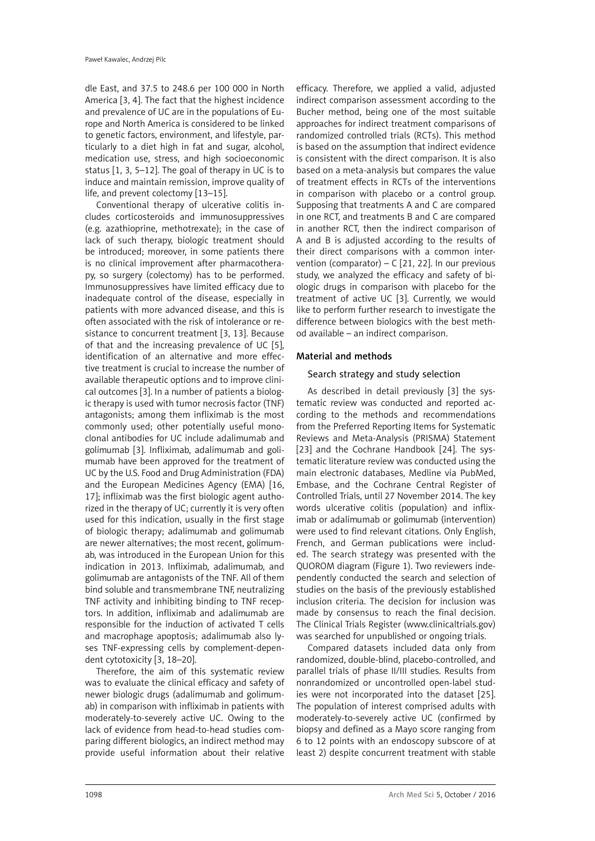dle East, and 37.5 to 248.6 per 100 000 in North America [3, 4]. The fact that the highest incidence and prevalence of UC are in the populations of Europe and North America is considered to be linked to genetic factors, environment, and lifestyle, particularly to a diet high in fat and sugar, alcohol, medication use, stress, and high socioeconomic status [1, 3, 5–12]. The goal of therapy in UC is to induce and maintain remission, improve quality of life, and prevent colectomy [13–15].

Conventional therapy of ulcerative colitis includes corticosteroids and immunosuppressives (e.g. azathioprine, methotrexate); in the case of lack of such therapy, biologic treatment should be introduced; moreover, in some patients there is no clinical improvement after pharmacotherapy, so surgery (colectomy) has to be performed. Immunosuppressives have limited efficacy due to inadequate control of the disease, especially in patients with more advanced disease, and this is often associated with the risk of intolerance or resistance to concurrent treatment [3, 13]. Because of that and the increasing prevalence of UC [5], identification of an alternative and more effective treatment is crucial to increase the number of available therapeutic options and to improve clinical outcomes [3]. In a number of patients a biologic therapy is used with tumor necrosis factor (TNF) antagonists; among them infliximab is the most commonly used; other potentially useful monoclonal antibodies for UC include adalimumab and golimumab [3]. Infliximab, adalimumab and golimumab have been approved for the treatment of UC by the U.S. Food and Drug Administration (FDA) and the European Medicines Agency (EMA) [16, 17]; infliximab was the first biologic agent authorized in the therapy of UC; currently it is very often used for this indication, usually in the first stage of biologic therapy; adalimumab and golimumab are newer alternatives; the most recent, golimumab, was introduced in the European Union for this indication in 2013. Infliximab, adalimumab, and golimumab are antagonists of the TNF. All of them bind soluble and transmembrane TNF, neutralizing TNF activity and inhibiting binding to TNF receptors. In addition, infliximab and adalimumab are responsible for the induction of activated T cells and macrophage apoptosis; adalimumab also lyses TNF-expressing cells by complement-dependent cytotoxicity [3, 18–20].

Therefore, the aim of this systematic review was to evaluate the clinical efficacy and safety of newer biologic drugs (adalimumab and golimumab) in comparison with infliximab in patients with moderately-to-severely active UC. Owing to the lack of evidence from head-to-head studies comparing different biologics, an indirect method may provide useful information about their relative efficacy. Therefore, we applied a valid, adjusted indirect comparison assessment according to the Bucher method, being one of the most suitable approaches for indirect treatment comparisons of randomized controlled trials (RCTs). This method is based on the assumption that indirect evidence is consistent with the direct comparison. It is also based on a meta-analysis but compares the value of treatment effects in RCTs of the interventions in comparison with placebo or a control group. Supposing that treatments A and C are compared in one RCT, and treatments B and C are compared in another RCT, then the indirect comparison of A and B is adjusted according to the results of their direct comparisons with a common intervention (comparator) – C [21, 22]. In our previous study, we analyzed the efficacy and safety of biologic drugs in comparison with placebo for the treatment of active UC [3]. Currently, we would like to perform further research to investigate the difference between biologics with the best method available – an indirect comparison.

# Material and methods

## Search strategy and study selection

As described in detail previously [3] the systematic review was conducted and reported according to the methods and recommendations from the Preferred Reporting Items for Systematic Reviews and Meta-Analysis (PRISMA) Statement [23] and the Cochrane Handbook [24]. The systematic literature review was conducted using the main electronic databases, Medline via PubMed, Embase, and the Cochrane Central Register of Controlled Trials, until 27 November 2014. The key words ulcerative colitis (population) and infliximab or adalimumab or golimumab (intervention) were used to find relevant citations. Only English, French, and German publications were included. The search strategy was presented with the QUOROM diagram (Figure 1). Two reviewers independently conducted the search and selection of studies on the basis of the previously established inclusion criteria. The decision for inclusion was made by consensus to reach the final decision. The Clinical Trials Register ([www.clinicaltrials.gov](http://www.clinicaltrials.gov)) was searched for unpublished or ongoing trials.

Compared datasets included data only from randomized, double-blind, placebo-controlled, and parallel trials of phase II/III studies. Results from nonrandomized or uncontrolled open-label studies were not incorporated into the dataset [25]. The population of interest comprised adults with moderately-to-severely active UC (confirmed by biopsy and defined as a Mayo score ranging from 6 to 12 points with an endoscopy subscore of at least 2) despite concurrent treatment with stable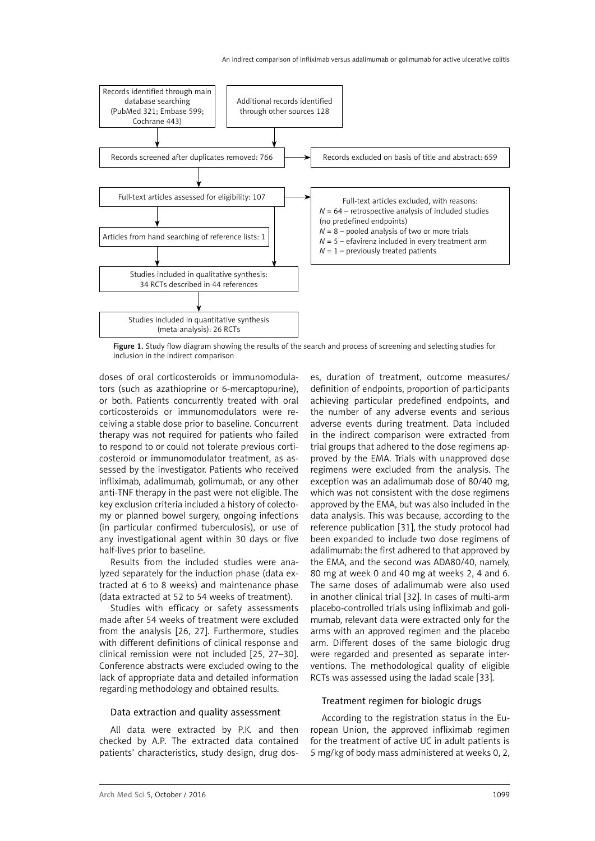

Figure 1. Study flow diagram showing the results of the search and process of screening and selecting studies for inclusion in the indirect comparison

doses of oral corticosteroids or immunomodulators (such as azathioprine or 6-mercaptopurine), or both. Patients concurrently treated with oral corticosteroids or immunomodulators were receiving a stable dose prior to baseline. Concurrent therapy was not required for patients who failed to respond to or could not tolerate previous corticosteroid or immunomodulator treatment, as assessed by the investigator. Patients who received infliximab, adalimumab, golimumab, or any other anti-TNF therapy in the past were not eligible. The key exclusion criteria included a history of colectomy or planned bowel surgery, ongoing infections (in particular confirmed tuberculosis), or use of any investigational agent within 30 days or five half-lives prior to baseline.

Results from the included studies were analyzed separately for the induction phase (data extracted at 6 to 8 weeks) and maintenance phase (data extracted at 52 to 54 weeks of treatment).

Studies with efficacy or safety assessments made after 54 weeks of treatment were excluded from the analysis [26, 27]. Furthermore, studies with different definitions of clinical response and clinical remission were not included [25, 27–30]. Conference abstracts were excluded owing to the lack of appropriate data and detailed information regarding methodology and obtained results.

## Data extraction and quality assessment

All data were extracted by P.K. and then checked by A.P. The extracted data contained patients' characteristics, study design, drug dos-

es, duration of treatment, outcome measures/ definition of endpoints, proportion of participants achieving particular predefined endpoints, and the number of any adverse events and serious adverse events during treatment. Data included in the indirect comparison were extracted from trial groups that adhered to the dose regimens approved by the EMA. Trials with unapproved dose regimens were excluded from the analysis. The exception was an adalimumab dose of 80/40 mg, which was not consistent with the dose regimens approved by the EMA, but was also included in the data analysis. This was because, according to the reference publication [31], the study protocol had been expanded to include two dose regimens of adalimumab: the first adhered to that approved by the EMA, and the second was ADA80/40, namely, 80 mg at week 0 and 40 mg at weeks 2, 4 and 6. The same doses of adalimumab were also used in another clinical trial [32]. In cases of multi-arm placebo-controlled trials using infliximab and golimumab, relevant data were extracted only for the arms with an approved regimen and the placebo arm. Different doses of the same biologic drug were regarded and presented as separate interventions. The methodological quality of eligible RCTs was assessed using the Jadad scale [33].

## Treatment regimen for biologic drugs

According to the registration status in the European Union, the approved infliximab regimen for the treatment of active UC in adult patients is 5 mg/kg of body mass administered at weeks 0, 2,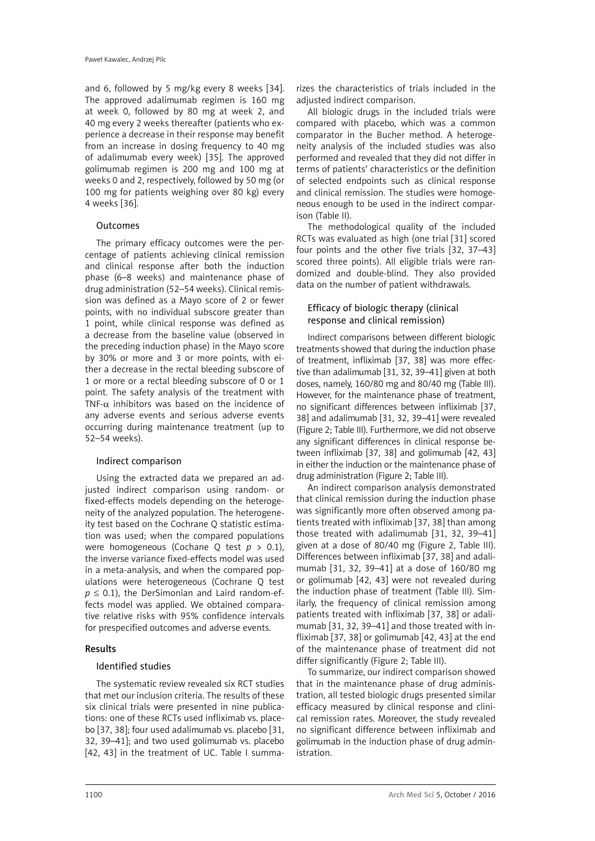and 6, followed by 5 mg/kg every 8 weeks [34]. The approved adalimumab regimen is 160 mg at week 0, followed by 80 mg at week 2, and 40 mg every 2 weeks thereafter (patients who experience a decrease in their response may benefit from an increase in dosing frequency to 40 mg of adalimumab every week) [35]. The approved golimumab regimen is 200 mg and 100 mg at weeks 0 and 2, respectively, followed by 50 mg (or 100 mg for patients weighing over 80 kg) every 4 weeks [36].

## Outcomes

The primary efficacy outcomes were the percentage of patients achieving clinical remission and clinical response after both the induction phase (6–8 weeks) and maintenance phase of drug administration (52–54 weeks). Clinical remission was defined as a Mayo score of 2 or fewer points, with no individual subscore greater than 1 point, while clinical response was defined as a decrease from the baseline value (observed in the preceding induction phase) in the Mayo score by 30% or more and 3 or more points, with either a decrease in the rectal bleeding subscore of 1 or more or a rectal bleeding subscore of 0 or 1 point. The safety analysis of the treatment with TNF- $\alpha$  inhibitors was based on the incidence of any adverse events and serious adverse events occurring during maintenance treatment (up to 52–54 weeks).

## Indirect comparison

Using the extracted data we prepared an adjusted indirect comparison using random- or fixed-effects models depending on the heterogeneity of the analyzed population. The heterogeneity test based on the Cochrane Q statistic estimation was used; when the compared populations were homogeneous (Cochane Q test *p* > 0.1), the inverse variance fixed-effects model was used in a meta-analysis, and when the compared populations were heterogeneous (Cochrane Q test  $p \le 0.1$ ), the DerSimonian and Laird random-effects model was applied. We obtained comparative relative risks with 95% confidence intervals for prespecified outcomes and adverse events.

# Results

# Identified studies

The systematic review revealed six RCT studies that met our inclusion criteria. The results of these six clinical trials were presented in nine publications: one of these RCTs used infliximab vs. placebo [37, 38]; four used adalimumab vs. placebo [31, 32, 39–41]; and two used golimumab vs. placebo [42, 43] in the treatment of UC. Table I summa-

rizes the characteristics of trials included in the adjusted indirect comparison.

All biologic drugs in the included trials were compared with placebo, which was a common comparator in the Bucher method. A heterogeneity analysis of the included studies was also performed and revealed that they did not differ in terms of patients' characteristics or the definition of selected endpoints such as clinical response and clinical remission. The studies were homogeneous enough to be used in the indirect comparison (Table II).

The methodological quality of the included RCTs was evaluated as high (one trial [31] scored four points and the other five trials [32, 37–43] scored three points). All eligible trials were randomized and double-blind. They also provided data on the number of patient withdrawals.

## Efficacy of biologic therapy (clinical response and clinical remission)

Indirect comparisons between different biologic treatments showed that during the induction phase of treatment, infliximab [37, 38] was more effective than adalimumab [31, 32, 39–41] given at both doses, namely, 160/80 mg and 80/40 mg (Table III). However, for the maintenance phase of treatment, no significant differences between infliximab [37, 38] and adalimumab [31, 32, 39–41] were revealed (Figure 2; Table III). Furthermore, we did not observe any significant differences in clinical response between infliximab [37, 38] and golimumab [42, 43] in either the induction or the maintenance phase of drug administration (Figure 2; Table III).

An indirect comparison analysis demonstrated that clinical remission during the induction phase was significantly more often observed among patients treated with infliximab [37, 38] than among those treated with adalimumab [31, 32, 39–41] given at a dose of 80/40 mg (Figure 2, Table III). Differences between infliximab [37, 38] and adalimumab [31, 32, 39–41] at a dose of 160/80 mg or golimumab [42, 43] were not revealed during the induction phase of treatment (Table III). Similarly, the frequency of clinical remission among patients treated with infliximab [37, 38] or adalimumab [31, 32, 39–41] and those treated with infliximab [37, 38] or golimumab [42, 43] at the end of the maintenance phase of treatment did not differ significantly (Figure 2; Table III).

To summarize, our indirect comparison showed that in the maintenance phase of drug administration, all tested biologic drugs presented similar efficacy measured by clinical response and clinical remission rates. Moreover, the study revealed no significant difference between infliximab and golimumab in the induction phase of drug administration.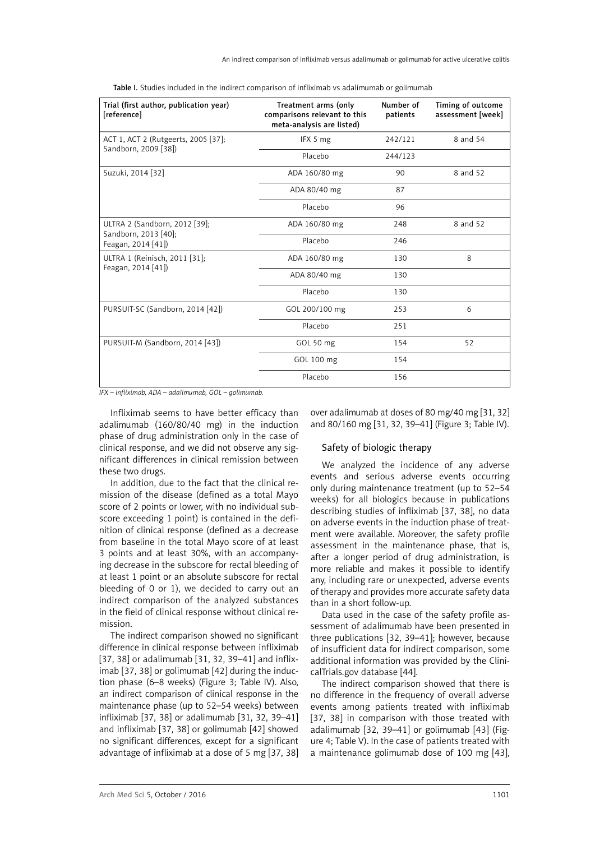| Trial (first author, publication year)<br>[reference] | Treatment arms (only<br>comparisons relevant to this<br>meta-analysis are listed) | Number of<br>patients | Timing of outcome<br>assessment [week] |
|-------------------------------------------------------|-----------------------------------------------------------------------------------|-----------------------|----------------------------------------|
| ACT 1, ACT 2 (Rutgeerts, 2005 [37];                   | IFX 5 mg                                                                          | 242/121               | 8 and 54                               |
| Sandborn, 2009 [38])                                  | Placebo                                                                           | 244/123               |                                        |
| Suzuki, 2014 [32]                                     | ADA 160/80 mg                                                                     | 90                    | 8 and 52                               |
|                                                       | ADA 80/40 mg                                                                      | 87                    |                                        |
|                                                       | Placebo                                                                           | 96                    |                                        |
| ULTRA 2 (Sandborn, 2012 [39];                         | ADA 160/80 mg                                                                     | 248                   | 8 and 52                               |
| Sandborn, 2013 [40];<br>Feagan, 2014 [41])            | Placebo                                                                           | 246                   |                                        |
| ULTRA 1 (Reinisch, 2011 [31];                         | ADA 160/80 mg                                                                     | 130                   | 8                                      |
| Feagan, 2014 [41])                                    | ADA 80/40 mg                                                                      | 130                   |                                        |
|                                                       | Placebo                                                                           | 130                   |                                        |
| PURSUIT-SC (Sandborn, 2014 [42])                      | GOL 200/100 mg                                                                    | 253                   | 6                                      |
|                                                       | Placebo                                                                           | 251                   |                                        |
| PURSUIT-M (Sandborn, 2014 [43])                       | GOL 50 mg                                                                         | 154                   | 52                                     |
|                                                       | GOL 100 mg                                                                        | 154                   |                                        |
|                                                       | Placebo                                                                           | 156                   |                                        |

Table I. Studies included in the indirect comparison of infliximab vs adalimumab or golimumab

*IFX – infliximab, ADA – adalimumab, GOL – golimumab.*

Infliximab seems to have better efficacy than adalimumab (160/80/40 mg) in the induction phase of drug administration only in the case of clinical response, and we did not observe any significant differences in clinical remission between these two drugs.

In addition, due to the fact that the clinical remission of the disease (defined as a total Mayo score of 2 points or lower, with no individual subscore exceeding 1 point) is contained in the definition of clinical response (defined as a decrease from baseline in the total Mayo score of at least 3 points and at least 30%, with an accompanying decrease in the subscore for rectal bleeding of at least 1 point or an absolute subscore for rectal bleeding of 0 or 1), we decided to carry out an indirect comparison of the analyzed substances in the field of clinical response without clinical remission.

The indirect comparison showed no significant difference in clinical response between infliximab [37, 38] or adalimumab [31, 32, 39-41] and infliximab [37, 38] or golimumab [42] during the induction phase (6–8 weeks) (Figure 3; Table IV). Also, an indirect comparison of clinical response in the maintenance phase (up to 52–54 weeks) between infliximab [37, 38] or adalimumab [31, 32, 39–41] and infliximab [37, 38] or golimumab [42] showed no significant differences, except for a significant advantage of infliximab at a dose of 5 mg [37, 38]

over adalimumab at doses of 80 mg/40 mg [31, 32] and 80/160 mg [31, 32, 39–41] (Figure 3; Table IV).

## Safety of biologic therapy

We analyzed the incidence of any adverse events and serious adverse events occurring only during maintenance treatment (up to 52–54 weeks) for all biologics because in publications describing studies of infliximab [37, 38], no data on adverse events in the induction phase of treatment were available. Moreover, the safety profile assessment in the maintenance phase, that is, after a longer period of drug administration, is more reliable and makes it possible to identify any, including rare or unexpected, adverse events of therapy and provides more accurate safety data than in a short follow-up.

Data used in the case of the safety profile assessment of adalimumab have been presented in three publications [32, 39–41]; however, because of insufficient data for indirect comparison, some additional information was provided by the ClinicalTrials.gov database [44].

The indirect comparison showed that there is no difference in the frequency of overall adverse events among patients treated with infliximab [37, 38] in comparison with those treated with adalimumab [32, 39–41] or golimumab [43] (Figure 4; Table V). In the case of patients treated with a maintenance golimumab dose of 100 mg [43],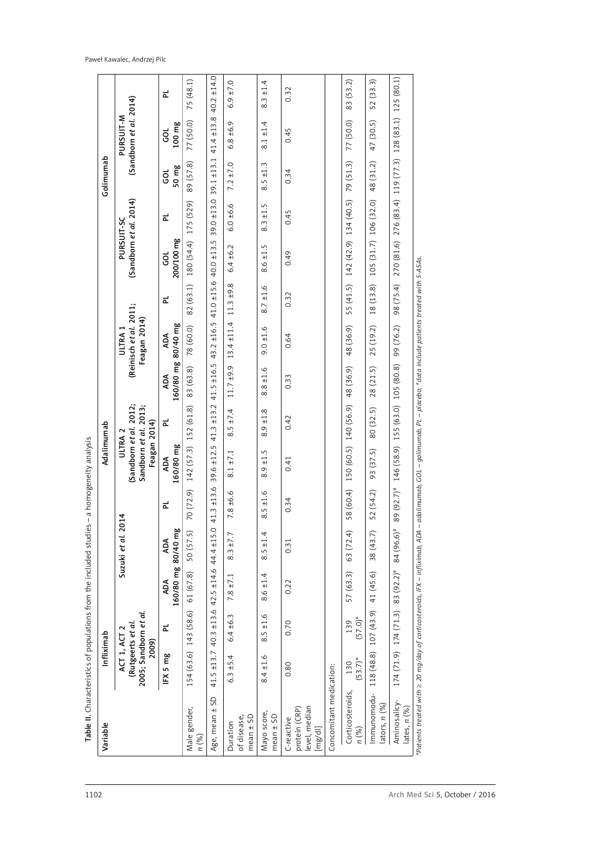| Variable                                                | Infliximab                                                          |                   |                           |                   |               | Adalimumab                                                                            |                                           |                                |                                                              |                 |                                           |                 | Golimumab     |                                     |             |
|---------------------------------------------------------|---------------------------------------------------------------------|-------------------|---------------------------|-------------------|---------------|---------------------------------------------------------------------------------------|-------------------------------------------|--------------------------------|--------------------------------------------------------------|-----------------|-------------------------------------------|-----------------|---------------|-------------------------------------|-------------|
|                                                         | 2005; Sandborn et al.<br>(Rutgeerts et al.<br>ACT 1, ACT 2<br>2009) |                   |                           | Suzuki et al. 201 | 4             | (Sandborn et al. 2012;<br>Sandborn et al. 2013;<br>Feagan 2014)<br>ULTRA <sub>2</sub> |                                           |                                | (Reinisch et al. 2011;<br>Feagan 2014)<br>ULTRA <sub>1</sub> |                 | (Sandborn et al. 2014)<br>PURSUIT-SC      |                 |               | (Sandborn et al. 2014)<br>PURSUIT-M |             |
|                                                         | IFX 5 mg                                                            | 군                 | 160/80 mg 80/40 mg<br>ADA | ADA               | ᇎ             | 160/80 mg<br>ADA                                                                      | 군                                         | 160/80 mg 80/40 mg<br>ADA      | ADA                                                          | 군               | 200/100 mg<br>ತ                           | 군               | 50 mg<br>g    | 100 mg<br>GOL                       | 군           |
| Male gender,<br>n (%)                                   | 154 (63.6)                                                          | 143 (58.6)        | 61(67.8)                  | 50 (57.5)         | 70 (72.9)     | $142(57.3)$ 152 (61.8)                                                                |                                           | 83 (63.8)                      | 78 (60.0)                                                    | 82 (63.1)       | 180 (54.4)                                | 175 (529)       | 89 (57.8)     | 77 (50.0)                           | 75 (48.1)   |
| SD<br>$+1$<br>Age, mean                                 | $41.5 \pm 13.7$                                                     | $40.3 + 13.6$     | $42.5 + 14.6$             | $44.4 \pm 15.0$   | 41.3 ±13.6    | ±12.5<br>39.6                                                                         | $41.3 \pm 13.2$                           | $41.5 + 16.5$                  | 43.2 ±16.5                                                   | $41.0 \pm 15.6$ | $40.0 \pm 13.5$                           | $39.0 \pm 13.0$ | $39.1 + 13.1$ | $41.4 \pm 13.8$                     | 40.2 ±14.0  |
| mean $\pm$ SD<br>of disease,<br>Duration                | $6.3 \pm 5.4$                                                       | $6.4 \pm 6.3$     | $7.8 \pm 7.1$             | $8.3 \pm 7.7$     | $7.8 \pm 6.6$ | $8.1 \pm 7.1$                                                                         | $8.5 \pm 7.4$                             | $11.7 \pm 9.9$ 13.4 $\pm 11.4$ |                                                              | $11.3 + 9.8$    | $6.4 \pm 6.2$                             | $6.0 + 6.6$     | $7.2 \pm 7.0$ | $6.8 + 6.9$                         | $6.9 + 7.0$ |
| Mayo score,<br>mean $\pm$ SD                            | $8.4 \pm 1.6$                                                       | ±1.6<br>LN<br>∞   | $8.6 \pm 1.4$             | ±1.4<br>8.5       | $8.5 \pm 1.6$ | ±1.5<br>8.9                                                                           | ±1.8<br>8.9                               | $8.8 \pm 1.6$                  | $9.0 \pm 1.6$                                                | ±1.6<br>8.7     | ±1.5<br>8.6                               | ±1.5<br>8.3     | $8.5 \pm 1.3$ | ±1.4<br>$\overline{8}.1$            | ±1.4<br>8.3 |
| level, median<br>protein (CRP)<br>C-reactive<br>[mg/d1] | 0.80                                                                | 0.70              | 0.22                      | 0.31              | 0.34          | 0.41                                                                                  | 0.42                                      | 0.33                           | 0.64                                                         | 0.32            | 0.49                                      | 0.45            | 0.34          | 0.45                                | 0.32        |
| Concomitant medication:                                 |                                                                     |                   |                           |                   |               |                                                                                       |                                           |                                |                                                              |                 |                                           |                 |               |                                     |             |
| Corticosteroids,<br>n (%)                               | $(53.7)$ *<br>130                                                   | $(57.0)$ *<br>139 | 57 (63.3)                 | 63 (72.4)         |               |                                                                                       | 58 (60.4) 150 (60.5) 140 (56.9) 48 (36.9) |                                | 48 (36.9)                                                    |                 | 55 (41.5) 142 (42.9) 134 (40.5) 79 (51.3) |                 |               | 77 (50.0)                           | 83 (53.2)   |
| Immunomodu-<br>lators, $n$ $(%)$                        | 118(48.8) 107(43.9)                                                 |                   | 41 (45.6)                 | 38 (43.7)         | 52 (54.2)     | 93 (37.5)                                                                             | 80 (32.5)                                 | 28 (21.5)                      | 25 (19.2)                                                    | 18 (13.8)       | 105 (31.7) 106 (32.0)                     |                 | 48 (31.2)     | 47 (30.5)                           | 52 (33.3)   |
| Aminosalicy-<br>lates, $n(%)$                           | 174(71.9)                                                           | 174(71.3)         | 83 (92.2)#                | 84 (96.6)#        | 89 (92.7)#    | 146 (58.9)                                                                            | 155 (63.0)                                | 105 (80.8)                     | 99 (76.2)                                                    | 98 (75.4)       | 270 (81.6)                                | 276 (83.4)      | 119 (77.3)    | 128(83.1)                           | 125 (80.1)  |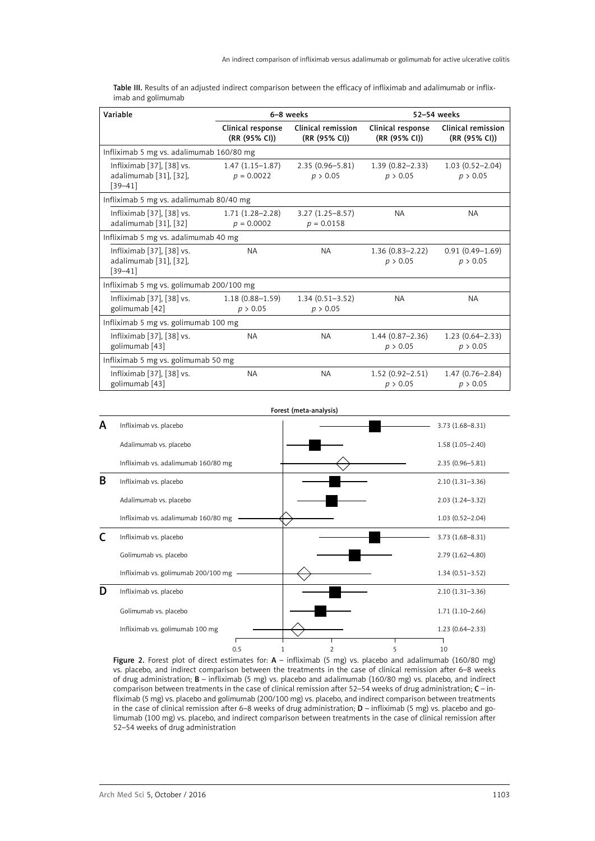|                    |  | <b>Table III.</b> Results of an adiusted indirect comparison between the efficacy of infliximab and adalimumab or inflix- |  |  |  |  |
|--------------------|--|---------------------------------------------------------------------------------------------------------------------------|--|--|--|--|
| imab and golimumab |  |                                                                                                                           |  |  |  |  |

| Variable                                                           |                                     | 6-8 weeks                           |                                                                    | 52-54 weeks                         |
|--------------------------------------------------------------------|-------------------------------------|-------------------------------------|--------------------------------------------------------------------|-------------------------------------|
|                                                                    | Clinical response<br>(RR (95% CI))  | Clinical remission<br>(RR (95% CI)) | Clinical response<br>(RR (95% CI))                                 | Clinical remission<br>(RR (95% CI)) |
| Infliximab 5 mg vs. adalimumab 160/80 mg                           |                                     |                                     |                                                                    |                                     |
| Infliximab [37], [38] vs.<br>adalimumab [31], [32],<br>$[39 - 41]$ | $1.47(1.15-1.87)$<br>$p = 0.0022$   | $2.35(0.96 - 5.81)$<br>p > 0.05     | $1.39(0.82 - 2.33)$<br>p > 0.05                                    | $1.03(0.52 - 2.04)$<br>p > 0.05     |
| Infliximab 5 mg vs. adalimumab 80/40 mg                            |                                     |                                     |                                                                    |                                     |
| Infliximab [37], [38] vs.<br>adalimumab [31], [32]                 | $1.71(1.28 - 2.28)$<br>$p = 0.0002$ | $3.27(1.25 - 8.57)$<br>$p = 0.0158$ | <b>NA</b>                                                          | NA.                                 |
| Infliximab 5 mg vs. adalimumab 40 mg                               |                                     |                                     |                                                                    |                                     |
| Infliximab [37], [38] vs.<br>adalimumab [31], [32],<br>$[39 - 41]$ | <b>NA</b>                           | <b>NA</b>                           | $1.36(0.83 - 2.22)$<br>p > 0.05                                    | $0.91(0.49 - 1.69)$<br>p > 0.05     |
| Infliximab 5 mg vs. golimumab 200/100 mg                           |                                     |                                     |                                                                    |                                     |
| Infliximab [37], [38] vs.<br>golimumab [42]                        | $1.18(0.88 - 1.59)$<br>p > 0.05     | $1.34(0.51 - 3.52)$<br>p > 0.05     | <b>NA</b>                                                          | <b>NA</b>                           |
| Infliximab 5 mg vs. golimumab 100 mg                               |                                     |                                     |                                                                    |                                     |
| Infliximab [37], [38] vs.<br>golimumab [43]                        | <b>NA</b>                           | <b>NA</b>                           | $1.44(0.87 - 2.36)$<br>p > 0.05                                    | $1.23(0.64 - 2.33)$<br>p > 0.05     |
| Infliximab 5 mg vs. golimumab 50 mg                                |                                     |                                     |                                                                    |                                     |
| Infliximab [37], [38] vs.<br>golimumab [43]                        | <b>NA</b>                           | <b>NA</b>                           | $1.52(0.92 - 2.51)$<br>$1.47(0.76 - 2.84)$<br>p > 0.05<br>p > 0.05 |                                     |



Figure 2. Forest plot of direct estimates for:  $A -$  infliximab (5 mg) vs. placebo and adalimumab (160/80 mg) vs. placebo, and indirect comparison between the treatments in the case of clinical remission after 6–8 weeks of drug administration; B – infliximab (5 mg) vs. placebo and adalimumab (160/80 mg) vs. placebo, and indirect comparison between treatments in the case of clinical remission after 52–54 weeks of drug administration; C – infliximab (5 mg) vs. placebo and golimumab (200/100 mg) vs. placebo, and indirect comparison between treatments in the case of clinical remission after 6–8 weeks of drug administration;  $D$  – infliximab (5 mg) vs. placebo and golimumab (100 mg) vs. placebo, and indirect comparison between treatments in the case of clinical remission after 52–54 weeks of drug administration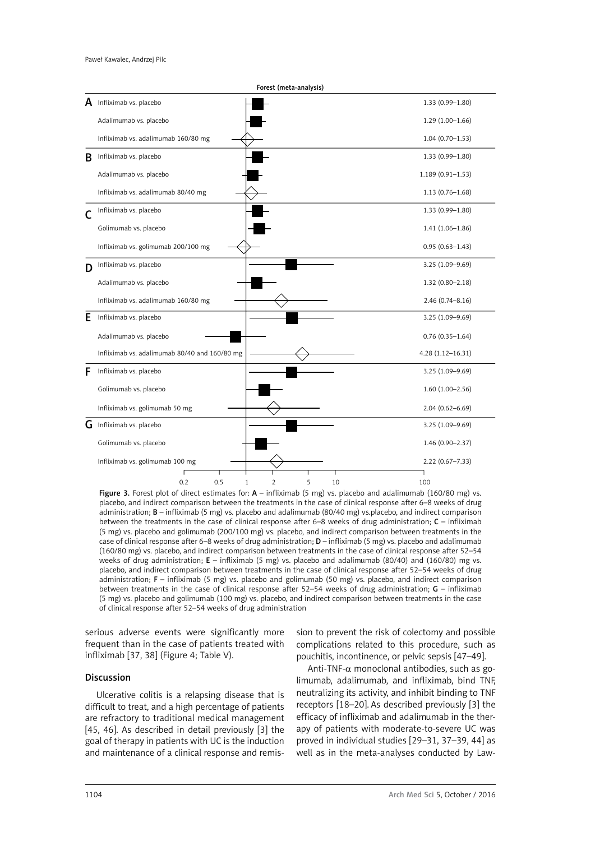|   | Forest (meta-analysis)                                  |                      |
|---|---------------------------------------------------------|----------------------|
| А | Infliximab vs. placebo                                  | $1.33(0.99 - 1.80)$  |
|   | Adalimumab vs. placebo                                  | $1.29(1.00-1.66)$    |
|   | Infliximab vs. adalimumab 160/80 mg                     | $1.04(0.70 - 1.53)$  |
| B | Infliximab vs. placebo                                  | $1.33(0.99 - 1.80)$  |
|   | Adalimumab vs. placebo                                  | $1.189(0.91 - 1.53)$ |
|   | Infliximab vs. adalimumab 80/40 mg                      | $1.13(0.76 - 1.68)$  |
|   | Infliximab vs. placebo                                  | $1.33(0.99 - 1.80)$  |
|   | Golimumab vs. placebo                                   | $1.41(1.06 - 1.86)$  |
|   | Infliximab vs. golimumab 200/100 mg                     | $0.95(0.63 - 1.43)$  |
| D | Infliximab vs. placebo                                  | 3.25 (1.09-9.69)     |
|   | Adalimumab vs. placebo                                  | $1.32(0.80 - 2.18)$  |
|   | Infliximab vs. adalimumab 160/80 mg                     | $2.46(0.74 - 8.16)$  |
| Е | Infliximab vs. placebo                                  | 3.25 (1.09-9.69)     |
|   | Adalimumab vs. placebo                                  | $0.76(0.35 - 1.64)$  |
|   | Infliximab vs. adalimumab 80/40 and 160/80 mg           | 4.28 (1.12-16.31)    |
| F | Infliximab vs. placebo                                  | 3.25 (1.09-9.69)     |
|   | Golimumab vs. placebo                                   | $1.60(1.00-2.56)$    |
|   | Infliximab vs. golimumab 50 mg                          | $2.04(0.62 - 6.69)$  |
| G | Infliximab vs. placebo                                  | 3.25 (1.09-9.69)     |
|   | Golimumab vs. placebo                                   | $1.46(0.90 - 2.37)$  |
|   | Infliximab vs. golimumab 100 mg                         | $2.22(0.67 - 7.33)$  |
|   | 0.2<br>0.5<br>$\overline{2}$<br>5<br>$\mathbf{1}$<br>10 | 100                  |

Figure 3. Forest plot of direct estimates for:  $A - \infty$  infliximab (5 mg) vs. placebo and adalimumab (160/80 mg) vs. placebo, and indirect comparison between the treatments in the case of clinical response after 6–8 weeks of drug administration; B – infliximab (5 mg) vs. placebo and adalimumab (80/40 mg) vs.placebo, and indirect comparison between the treatments in the case of clinical response after 6–8 weeks of drug administration; C – infliximab (5 mg) vs. placebo and golimumab (200/100 mg) vs. placebo, and indirect comparison between treatments in the case of clinical response after 6–8 weeks of drug administration; D – infliximab (5 mg) vs. placebo and adalimumab (160/80 mg) vs. placebo, and indirect comparison between treatments in the case of clinical response after 52–54 weeks of drug administration;  $E -$  infliximab (5 mg) vs. placebo and adalimumab (80/40) and (160/80) mg vs. placebo, and indirect comparison between treatments in the case of clinical response after 52–54 weeks of drug administration; F – infliximab (5 mg) vs. placebo and golimumab (50 mg) vs. placebo, and indirect comparison between treatments in the case of clinical response after 52–54 weeks of drug administration; G – infliximab (5 mg) vs. placebo and golimumab (100 mg) vs. placebo, and indirect comparison between treatments in the case of clinical response after 52–54 weeks of drug administration

serious adverse events were significantly more frequent than in the case of patients treated with infliximab [37, 38] (Figure 4; Table V).

#### Discussion

Ulcerative colitis is a relapsing disease that is difficult to treat, and a high percentage of patients are refractory to traditional medical management [45, 46]. As described in detail previously [3] the goal of therapy in patients with UC is the induction and maintenance of a clinical response and remis-

sion to prevent the risk of colectomy and possible complications related to this procedure, such as pouchitis, incontinence, or pelvic sepsis [47–49].

Anti-TNF- $\alpha$  monoclonal antibodies, such as golimumab, adalimumab, and infliximab, bind TNF, neutralizing its activity, and inhibit binding to TNF receptors [\[18–](#page-11-10)[20\]](#page-11-11). As described previously [3] the efficacy of infliximab and adalimumab in the therapy of patients with moderate-to-severe UC was proved in individual studies [\[29](#page-11-12)–31, 37–39, 44] as well as in the meta-analyses conducted by Law-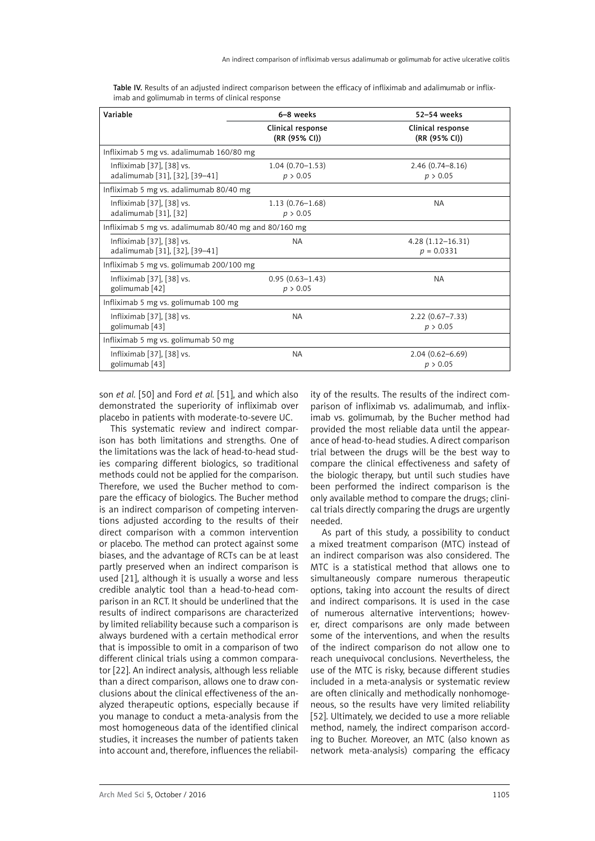| Variable                                                    | 6-8 weeks                          | 52-54 weeks                          |
|-------------------------------------------------------------|------------------------------------|--------------------------------------|
|                                                             | Clinical response<br>(RR (95% CI)) | Clinical response<br>(RR (95% CI))   |
| Infliximab 5 mg vs. adalimumab 160/80 mg                    |                                    |                                      |
| Infliximab [37], [38] vs.<br>adalimumab [31], [32], [39-41] | $1.04(0.70 - 1.53)$<br>p > 0.05    | $2.46(0.74 - 8.16)$<br>p > 0.05      |
| Infliximab 5 mg vs. adalimumab 80/40 mg                     |                                    |                                      |
| Infliximab [37], [38] vs.<br>adalimumab [31], [32]          | $1.13(0.76 - 1.68)$<br>p > 0.05    | <b>NA</b>                            |
| Infliximab 5 mg vs. adalimumab 80/40 mg and 80/160 mg       |                                    |                                      |
| Infliximab [37], [38] vs.<br>adalimumab [31], [32], [39-41] | <b>NA</b>                          | $4.28(1.12 - 16.31)$<br>$p = 0.0331$ |
| Infliximab 5 mg vs. golimumab 200/100 mg                    |                                    |                                      |
| Infliximab [37], [38] vs.<br>golimumab [42]                 | $0.95(0.63 - 1.43)$<br>p > 0.05    | <b>NA</b>                            |
| Infliximab 5 mg vs. golimumab 100 mg                        |                                    |                                      |
| Infliximab [37], [38] vs.<br>golimumab [43]                 | <b>NA</b>                          | $2.22(0.67 - 7.33)$<br>p > 0.05      |
| Infliximab 5 mg vs. golimumab 50 mg                         |                                    |                                      |
| Infliximab [37], [38] vs.<br>golimumab [43]                 | <b>NA</b>                          | $2.04(0.62 - 6.69)$<br>p > 0.05      |

Table IV. Results of an adiusted indirect comparison between the efficacy of infliximab and adalimumab or infliximab and golimumab in terms of clinical response

son *et al.* [50] and Ford *et al.* [51], and which also demonstrated the superiority of infliximab over placebo in patients with moderate-to-severe UC.

This systematic review and indirect comparison has both limitations and strengths. One of the limitations was the lack of head-to-head studies comparing different biologics, so traditional methods could not be applied for the comparison. Therefore, we used the Bucher method to compare the efficacy of biologics. The Bucher method is an indirect comparison of competing interventions adjusted according to the results of their direct comparison with a common intervention or placebo. The method can protect against some biases, and the advantage of RCTs can be at least partly preserved when an indirect comparison is used [\[21](#page-11-13)], although it is usually a worse and less credible analytic tool than a head-to-head comparison in an RCT. It should be underlined that the results of indirect comparisons are characterized by limited reliability because such a comparison is always burdened with a certain methodical error that is impossible to omit in a comparison of two different clinical trials using a common comparator [[22\]](#page-11-14). An indirect analysis, although less reliable than a direct comparison, allows one to draw conclusions about the clinical effectiveness of the analyzed therapeutic options, especially because if you manage to conduct a meta-analysis from the most homogeneous data of the identified clinical studies, it increases the number of patients taken into account and, therefore, influences the reliability of the results. The results of the indirect comparison of infliximab vs. adalimumab, and infliximab vs. golimumab, by the Bucher method had provided the most reliable data until the appearance of head-to-head studies. A direct comparison trial between the drugs will be the best way to compare the clinical effectiveness and safety of the biologic therapy, but until such studies have been performed the indirect comparison is the only available method to compare the drugs; clinical trials directly comparing the drugs are urgently needed.

As part of this study, a possibility to conduct a mixed treatment comparison (MTC) instead of an indirect comparison was also considered. The MTC is a statistical method that allows one to simultaneously compare numerous therapeutic options, taking into account the results of direct and indirect comparisons. It is used in the case of numerous alternative interventions; however, direct comparisons are only made between some of the interventions, and when the results of the indirect comparison do not allow one to reach unequivocal conclusions. Nevertheless, the use of the MTC is risky, because different studies included in a meta-analysis or systematic review are often clinically and methodically nonhomogeneous, so the results have very limited reliability [52]. Ultimately, we decided to use a more reliable method, namely, the indirect comparison according to Bucher. Moreover, an MTC (also known as network meta-analysis) comparing the efficacy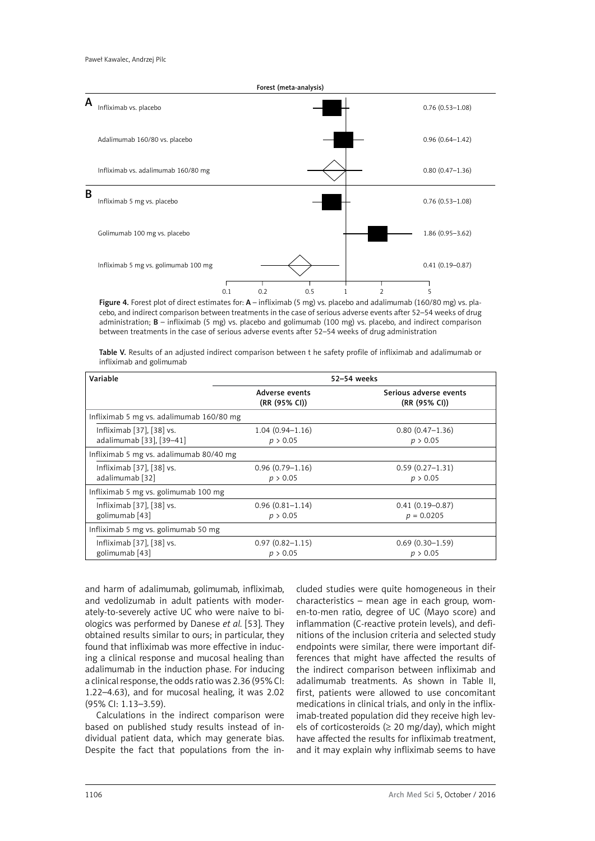

cebo, and indirect comparison between treatments in the case of serious adverse events after 52–54 weeks of drug administration; B – infliximab (5 mg) vs. placebo and golimumab (100 mg) vs. placebo, and indirect comparison between treatments in the case of serious adverse events after 52–54 weeks of drug administration

Table V. Results of an adjusted indirect comparison between t he safety profile of infliximab and adalimumab or infliximab and golimumab

| Variable                                              | 52-54 weeks                     |                                         |  |  |  |
|-------------------------------------------------------|---------------------------------|-----------------------------------------|--|--|--|
|                                                       | Adverse events<br>(RR (95% CI)) | Serious adverse events<br>(RR (95% CI)) |  |  |  |
| Infliximab 5 mg vs. adalimumab 160/80 mg              |                                 |                                         |  |  |  |
| Infliximab [37], [38] vs.<br>adalimumab [33], [39-41] | $1.04(0.94 - 1.16)$<br>p > 0.05 | $0.80(0.47-1.36)$<br>p > 0.05           |  |  |  |
| Infliximab 5 mg vs. adalimumab 80/40 mg               |                                 |                                         |  |  |  |
| Infliximab [37], [38] vs.<br>adalimumab [32]          | $0.96(0.79-1.16)$<br>p > 0.05   | $0.59(0.27-1.31)$<br>p > 0.05           |  |  |  |
| Infliximab 5 mg vs. golimumab 100 mg                  |                                 |                                         |  |  |  |
| Infliximab [37], [38] vs.<br>golimumab [43]           | $0.96(0.81 - 1.14)$<br>p > 0.05 | $0.41(0.19 - 0.87)$<br>$p = 0.0205$     |  |  |  |
| Infliximab 5 mg vs. golimumab 50 mg                   |                                 |                                         |  |  |  |
| Infliximab [37], [38] vs.<br>golimumab [43]           | $0.97(0.82 - 1.15)$<br>p > 0.05 | $0.69(0.30-1.59)$<br>p > 0.05           |  |  |  |

and harm of adalimumab, golimumab, infliximab, and vedolizumab in adult patients with moderately-to-severely active UC who were naive to biologics was performed by Danese *et al.* [53]. They obtained results similar to ours; in particular, they found that infliximab was more effective in inducing a clinical response and mucosal healing than adalimumab in the induction phase. For inducing a clinical response, the odds ratio was 2.36 (95% CI: 1.22–4.63), and for mucosal healing, it was 2.02 (95% CI: 1.13–3.59).

Calculations in the indirect comparison were based on published study results instead of individual patient data, which may generate bias. Despite the fact that populations from the included studies were quite homogeneous in their characteristics – mean age in each group, women-to-men ratio, degree of UC (Mayo score) and inflammation (C-reactive protein levels), and definitions of the inclusion criteria and selected study endpoints were similar, there were important differences that might have affected the results of the indirect comparison between infliximab and adalimumab treatments. As shown in Table II, first, patients were allowed to use concomitant medications in clinical trials, and only in the infliximab-treated population did they receive high levels of corticosteroids ( $\geq$  20 mg/day), which might have affected the results for infliximab treatment, and it may explain why infliximab seems to have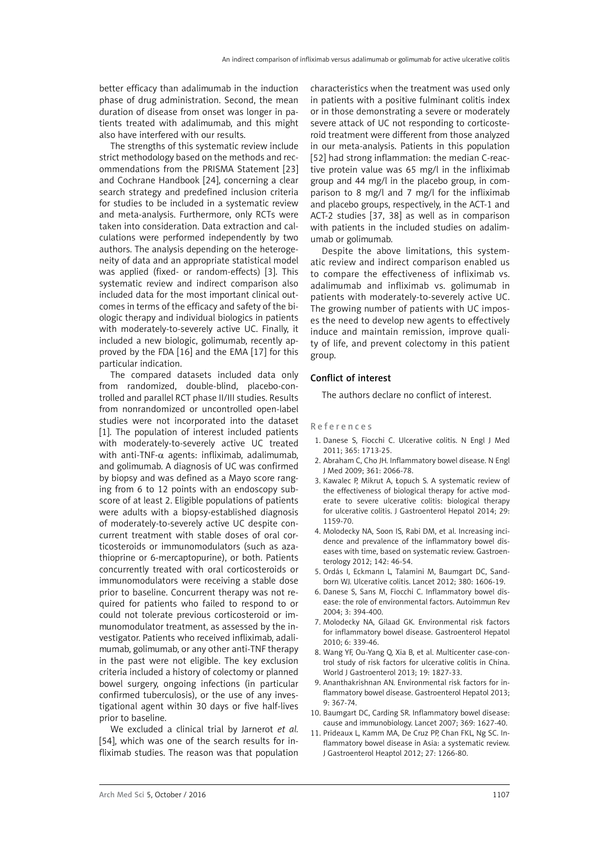better efficacy than adalimumab in the induction phase of drug administration. Second, the mean duration of disease from onset was longer in patients treated with adalimumab, and this might also have interfered with our results.

The strengths of this systematic review include strict methodology based on the methods and recommendations from the PRISMA Statement [[23](#page-11-14)] and Cochrane Handbook [[24](#page-11-16)], concerning a clear search strategy and predefined inclusion criteria for studies to be included in a systematic review and meta-analysis. Furthermore, only RCTs were taken into consideration. Data extraction and calculations were performed independently by two authors. The analysis depending on the heterogeneity of data and an appropriate statistical model was applied (fixed- or random-effects) [3]. This systematic review and indirect comparison also included data for the most important clinical outcomes in terms of the efficacy and safety of the biologic therapy and individual biologics in patients with moderately-to-severely active UC. Finally, it included a new biologic, golimumab, recently approved by the FDA [[16\]](#page-11-17) and the EMA [[17](#page-11-18)] for this particular indication.

The compared datasets included data only from randomized, double-blind, placebo-controlled and parallel RCT phase II/III studies. Results from nonrandomized or uncontrolled open-label studies were not incorporated into the dataset [1]. The population of interest included patients with moderately-to-severely active UC treated with anti-TNF- $\alpha$  agents: infliximab, adalimumab, and golimumab. A diagnosis of UC was confirmed by biopsy and was defined as a Mayo score ranging from 6 to 12 points with an endoscopy subscore of at least 2. Eligible populations of patients were adults with a biopsy-established diagnosis of moderately-to-severely active UC despite concurrent treatment with stable doses of oral corticosteroids or immunomodulators (such as azathioprine or 6-mercaptopurine), or both. Patients concurrently treated with oral corticosteroids or immunomodulators were receiving a stable dose prior to baseline. Concurrent therapy was not required for patients who failed to respond to or could not tolerate previous corticosteroid or immunomodulator treatment, as assessed by the investigator. Patients who received infliximab, adalimumab, golimumab, or any other anti-TNF therapy in the past were not eligible. The key exclusion criteria included a history of colectomy or planned bowel surgery, ongoing infections (in particular confirmed tuberculosis), or the use of any investigational agent within 30 days or five half-lives prior to baseline.

We excluded a clinical trial by Jarnerot *et al.* [54], which was one of the search results for infliximab studies. The reason was that population characteristics when the treatment was used only in patients with a positive fulminant colitis index or in those demonstrating a severe or moderately severe attack of UC not responding to corticosteroid treatment were different from those analyzed in our meta-analysis. Patients in this population [52] had strong inflammation: the median C-reactive protein value was 65 mg/l in the infliximab group and 44 mg/l in the placebo group, in comparison to 8 mg/l and 7 mg/l for the infliximab and placebo groups, respectively, in the ACT-1 and ACT-2 studies [37, 38] as well as in comparison with patients in the included studies on adalimumab or golimumab.

Despite the above limitations, this systematic review and indirect comparison enabled us to compare the effectiveness of infliximab vs. adalimumab and infliximab vs. golimumab in patients with moderately-to-severely active UC. The growing number of patients with UC imposes the need to develop new agents to effectively induce and maintain remission, improve quality of life, and prevent colectomy in this patient group.

## Conflict of interest

The authors declare no conflict of interest.

## References

- 1. Danese S, Fiocchi C. Ulcerative colitis. N Engl J Med 2011; 365: 1713-25.
- 2. Abraham C, Cho JH. Inflammatory bowel disease. N Engl J Med 2009; 361: 2066-78.
- 3. Kawalec P, Mikrut A, Łopuch S. A systematic review of the effectiveness of biological therapy for active moderate to severe ulcerative colitis: biological therapy for ulcerative colitis. J Gastroenterol Hepatol 2014; 29: 1159-70.
- 4. Molodecky NA, Soon IS, Rabi DM, et al. Increasing incidence and prevalence of the inflammatory bowel diseases with time, based on systematic review. Gastroenterology 2012; 142: 46-54.
- 5. Ordás I, Eckmann L, Talamini M, Baumgart DC, Sandborn WJ. Ulcerative colitis. Lancet 2012; 380: 1606-19.
- 6. Danese S, Sans M, Fiocchi C. Inflammatory bowel disease: the role of environmental factors. Autoimmun Rev 2004; 3: 394-400.
- 7. Molodecky NA, Gilaad GK. Environmental risk factors for inflammatory bowel disease. Gastroenterol Hepatol 2010; 6: 339-46.
- 8. Wang YF, Ou-Yang Q, Xia B, et al. Multicenter case-control study of risk factors for ulcerative colitis in China. World J Gastroenterol 2013; 19: 1827-33.
- 9. Ananthakrishnan AN. Environmental risk factors for inflammatory bowel disease. Gastroenterol Hepatol 2013; 9: 367-74.
- 10. Baumgart DC, Carding SR. Inflammatory bowel disease: cause and immunobiology. Lancet 2007; 369: 1627-40.
- 11. Prideaux L, Kamm MA, De Cruz PP, Chan FKL, Ng SC. Inflammatory bowel disease in Asia: a systematic review. J Gastroenterol Heaptol 2012; 27: 1266-80.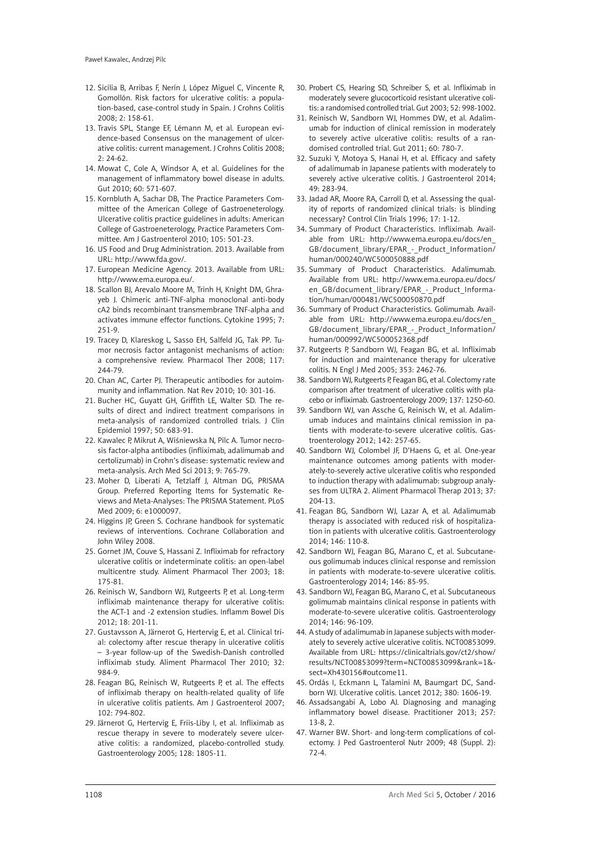- 12. Sicilia B, Arribas F, Nerín J, López Miguel C, Vincente R, Gomollón. Risk factors for ulcerative colitis: a population-based, case-control study in Spain. J Crohns Colitis 2008; 2: 158-61.
- 13. Travis SPL, Stange EF, Lémann M, et al. European evidence-based Consensus on the management of ulcerative colitis: current management. J Crohns Colitis 2008;  $7.74-67$
- 14. Mowat C, Cole A, Windsor A, et al. Guidelines for the management of inflammatory bowel disease in adults. Gut 2010; 60: 571-607.
- 15. Kornbluth A, Sachar DB, The Practice Parameters Committee of the American College of Gastroeneterology. Ulcerative colitis practice guidelines in adults: American College of Gastroeneterology, Practice Parameters Committee. Am J Gastroenterol 2010; 105: 501-23.
- <span id="page-11-17"></span>16. US Food and Drug Administration. 2013. Available from URL:<http://www.fda.gov/>.
- <span id="page-11-18"></span>17. European Medicine Agency. 2013. Available from URL: <http://www.ema.europa.eu/>.
- <span id="page-11-10"></span>18. Scallon BJ, Arevalo Moore M, Trinh H, Knight DM, Ghrayeb J. Chimeric anti-TNF-alpha monoclonal anti-body cA2 binds recombinant transmembrane TNF-alpha and activates immune effector functions. Cytokine 1995; 7: 251-9.
- 19. Tracey D, Klareskog L, Sasso EH, Salfeld JG, Tak PP. Tumor necrosis factor antagonist mechanisms of action: a comprehensive review. Pharmacol Ther 2008; 117: 244-79.
- <span id="page-11-11"></span>20. Chan AC, Carter PJ. Therapeutic antibodies for autoimmunity and inflammation. Nat Rev 2010; 10: 301-16.
- <span id="page-11-13"></span>21. Bucher HC, Guyatt GH, Griffith LE, Walter SD. The results of direct and indirect treatment comparisons in meta-analysis of randomized controlled trials. J Clin Epidemiol 1997; 50: 683-91.
- <span id="page-11-14"></span>22. Kawalec P, Mikrut A, Wiśniewska N, Pilc A. Tumor necrosis factor-alpha antibodies (infliximab, adalimumab and certolizumab) in Crohn's disease: systematic review and meta-analysis. Arch Med Sci 2013; 9: 765-79.
- 23. Moher D, Liberati A, Tetzlaff J, Altman DG, PRISMA Group. Preferred Reporting Items for Systematic Reviews and Meta-Analyses: The PRISMA Statement. PLoS Med 2009; 6: e1000097.
- <span id="page-11-16"></span>24. Higgins JP, Green S. Cochrane handbook for systematic reviews of interventions. Cochrane Collaboration and John Wiley 2008.
- 25. Gornet JM, Couve S, Hassani Z. Infliximab for refractory ulcerative colitis or indeterminate colitis: an open-label multicentre study. Aliment Pharmacol Ther 2003; 18: 175-81.
- 26. Reinisch W, Sandborn WJ, Rutgeerts P, et al. Long-term infliximab maintenance therapy for ulcerative colitis: the ACT-1 and -2 extension studies. Inflamm Bowel Dis 2012; 18: 201-11.
- 27. Gustavsson A, Järnerot G, Hertervig E, et al. Clinical trial: colectomy after rescue therapy in ulcerative colitis – 3-year follow-up of the Swedish-Danish controlled infliximab study. Aliment Pharmacol Ther 2010; 32: 984-9.
- 28. Feagan BG, Reinisch W, Rutgeerts P, et al. The effects of infliximab therapy on health-related quality of life in ulcerative colitis patients. Am J Gastroenterol 2007; 102: 794-802.
- <span id="page-11-12"></span>29. Järnerot G, Hertervig E, Friis-Liby I, et al. Infliximab as rescue therapy in severe to moderately severe ulcerative colitis: a randomized, placebo-controlled study. Gastroenterology 2005; 128: 1805-11.
- 30. Probert CS, Hearing SD, Schreiber S, et al. Infliximab in moderately severe glucocorticoid resistant ulcerative colitis: a randomised controlled trial. Gut 2003; 52: 998-1002.
- <span id="page-11-8"></span>31. Reinisch W, Sandborn WJ, Hommes DW, et al. Adalimumab for induction of clinical remission in moderately to severely active ulcerative colitis: results of a randomised controlled trial. Gut 2011; 60: 780-7.
- <span id="page-11-1"></span>32. Suzuki Y, Motoya S, Hanai H, et al. Efficacy and safety of adalimumab in Japanese patients with moderately to severely active ulcerative colitis. J Gastroenterol 2014; 49: 283-94.
- <span id="page-11-15"></span>33. Jadad AR, Moore RA, Carroll D, et al. Assessing the quality of reports of randomized clinical trials: is blinding necessary? Control Clin Trials 1996; 17: 1-12.
- 34. Summary of Product Characteristics. Infliximab. Available from URL: http://www.ema.europa.eu/docs/en\_ GB/document\_library/EPAR - Product\_Information/ human/000240/WC500050888.pdf
- 35. Summary of Product Characteristics. Adalimumab. Available from URL: http://www.ema.europa.eu/docs/ en GB/document\_library/EPAR - Product\_Information/human/000481/WC500050870.pdf
- 36. Summary of Product Characteristics. Golimumab. Available from URL: http://www.ema.europa.eu/docs/en\_ GB/document\_library/EPAR - Product\_Information/ human/000992/WC500052368.pdf
- <span id="page-11-0"></span>37. Rutgeerts P, Sandborn WJ, Feagan BG, et al. Infliximab for induction and maintenance therapy for ulcerative colitis. N Engl J Med 2005; 353: 2462-76.
- <span id="page-11-7"></span>38. Sandborn WJ, Rutgeerts P, Feagan BG, et al. Colectomy rate comparison after treatment of ulcerative colitis with placebo or infliximab. Gastroenterology 2009; 137: 1250-60.
- <span id="page-11-2"></span>39. Sandborn WJ, van Assche G, Reinisch W, et al. Adalimumab induces and maintains clinical remission in patients with moderate-to-severe ulcerative colitis. Gastroenterology 2012; 142: 257-65.
- <span id="page-11-3"></span>40. Sandborn WJ, Colombel JF, D'Haens G, et al. One-year maintenance outcomes among patients with moderately-to-severely active ulcerative colitis who responded to induction therapy with adalimumab: subgroup analyses from ULTRA 2. Aliment Pharmacol Therap 2013; 37: 204-13.
- <span id="page-11-4"></span>41. Feagan BG, Sandborn WJ, Lazar A, et al. Adalimumab therapy is associated with reduced risk of hospitalization in patients with ulcerative colitis. Gastroenterology 2014; 146: 110-8.
- <span id="page-11-9"></span><span id="page-11-5"></span>42. Sandborn WJ, Feagan BG, Marano C, et al. Subcutaneous golimumab induces clinical response and remission in patients with moderate-to-severe ulcerative colitis. Gastroenterology 2014; 146: 85-95.
- <span id="page-11-6"></span>43. Sandborn WJ, Feagan BG, Marano C, et al. Subcutaneous golimumab maintains clinical response in patients with moderate-to-severe ulcerative colitis. Gastroenterology 2014; 146: 96-109.
- 44. A study of adalimumab in Japanese subjects with moderately to severely active ulcerative colitis. NCT00853099. Available from URL: https://clinicaltrials.gov/ct2/show/ results/NCT00853099?term=NCT00853099&rank=1& sect=Xh430156#outcome11.
- 45. Ordás I, Eckmann L, Talamini M, Baumgart DC, Sandborn WJ. Ulcerative colitis. Lancet 2012; 380: 1606-19.
- 46. Assadsangabi A, Lobo AJ. Diagnosing and managing inflammatory bowel disease. Practitioner 2013; 257: 13-8, 2.
- 47. Warner BW. Short- and long-term complications of colectomy. J Ped Gastroenterol Nutr 2009; 48 (Suppl. 2): 72-4.